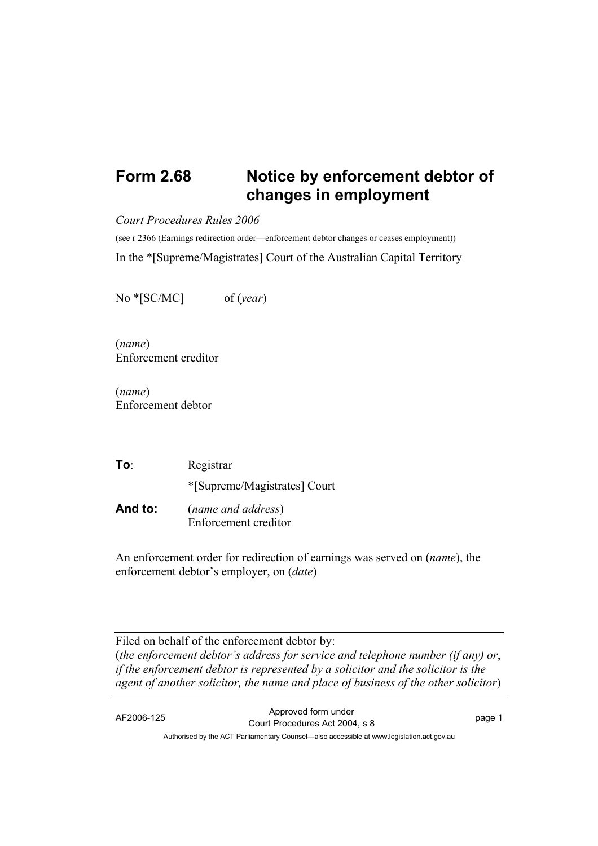## **Form 2.68 Notice by enforcement debtor of changes in employment**

*Court Procedures Rules 2006* 

(see r 2366 (Earnings redirection order—enforcement debtor changes or ceases employment)) In the \*[Supreme/Magistrates] Court of the Australian Capital Territory

No \*[SC/MC] of (*year*)

(*name*) Enforcement creditor

(*name*) Enforcement debtor

**To**: Registrar \*[Supreme/Magistrates] Court **And to:** (*name and address*) Enforcement creditor

An enforcement order for redirection of earnings was served on (*name*), the enforcement debtor's employer, on (*date*)

Filed on behalf of the enforcement debtor by: (*the enforcement debtor's address for service and telephone number (if any) or*, *if the enforcement debtor is represented by a solicitor and the solicitor is the agent of another solicitor, the name and place of business of the other solicitor*)